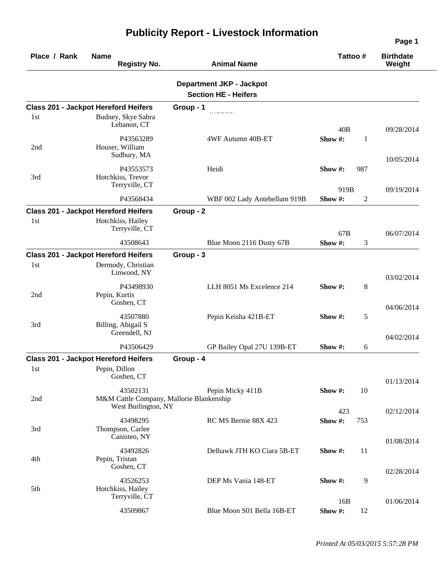| Place / Rank | <b>Name</b><br><b>Registry No.</b>                                          | <b>Animal Name</b>                                             | Tattoo#                          | <b>Birthdate</b><br>Weight |
|--------------|-----------------------------------------------------------------------------|----------------------------------------------------------------|----------------------------------|----------------------------|
|              |                                                                             | <b>Department JKP - Jackpot</b><br><b>Section HE - Heifers</b> |                                  |                            |
|              | <b>Class 201 - Jackpot Hereford Heifers</b>                                 | Group - 1                                                      |                                  |                            |
| 1st          | Budney, Skye Sabra<br>Lebanon, CT                                           |                                                                | 40B                              | 09/28/2014                 |
| 2nd          | P43563289<br>Houser, William<br>Sudbury, MA                                 | 4WF Autumn 40B-ET                                              | Show#:<br>1                      | 10/05/2014                 |
| 3rd          | P43553573<br>Hotchkiss, Trevor<br>Terryville, CT                            | Heidi                                                          | Show #:<br>987                   |                            |
|              | P43568434                                                                   | WBF 002 Lady Antebellum 919B                                   | 919B<br>Show#:<br>$\overline{2}$ | 09/19/2014                 |
|              | <b>Class 201 - Jackpot Hereford Heifers</b>                                 | Group - 2                                                      |                                  |                            |
| 1st          | Hotchkiss, Hailey<br>Terryville, CT                                         |                                                                | 67B                              | 06/07/2014                 |
|              | 43508643                                                                    | Blue Moon 2116 Dusty 67B                                       | Show#:<br>$\mathfrak{Z}$         |                            |
|              | <b>Class 201 - Jackpot Hereford Heifers</b>                                 | Group - 3                                                      |                                  |                            |
| 1st          | Dermody, Christian<br>Linwood, NY                                           |                                                                |                                  | 03/02/2014                 |
| 2nd          | P43498930<br>Pepin, Kurtis<br>Goshen, CT                                    | LLH 8051 Ms Excelence 214                                      | Show #:<br>8                     |                            |
| 3rd          | 43507880<br>Billing, Abigail S<br>Greendell, NJ                             | Pepin Keisha 421B-ET                                           | 5<br>Show #:                     | 04/06/2014                 |
|              | P43506429                                                                   | GP Bailey Opal 27U 139B-ET                                     | Show $#$ :<br>6                  | 04/02/2014                 |
|              | <b>Class 201 - Jackpot Hereford Heifers</b>                                 | Group - 4                                                      |                                  |                            |
| 1st          | Pepin, Dillon<br>Goshen, CT                                                 |                                                                |                                  | 01/13/2014                 |
| 2nd          | 43502131<br>M&M Cattle Company, Mallorie Blankenship<br>West Burlington, NY | Pepin Micky 411B                                               | Show #:<br>10                    |                            |
| 3rd          | 43498295<br>Thompson, Carlee                                                | RC MS Bernie 88X 423                                           | 423<br>Show#:<br>753             | 02/12/2014                 |
| 4th          | Canisteo, NY<br>43492826<br>Pepin, Tristan                                  | Delhawk JTH KO Ciara 5B-ET                                     | 11<br>Show#:                     | 01/08/2014                 |
| 5th          | Goshen, CT<br>43526253<br>Hotchkiss, Hailey                                 | DEP Ms Vania 148-ET                                            | 9<br>Show $#$ :                  | 02/28/2014                 |
|              | Terryville, CT<br>43509867                                                  | Blue Moon S01 Bella 16B-ET                                     | 16B<br>Show #:<br>12             | 01/06/2014                 |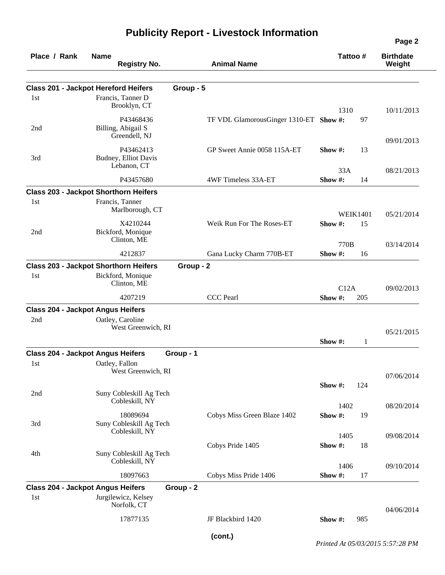| Place / Rank | <b>Name</b><br><b>Registry No.</b>           |           | <b>Animal Name</b>                     |             | Tattoo#         | <b>Birthdate</b><br>Weight |
|--------------|----------------------------------------------|-----------|----------------------------------------|-------------|-----------------|----------------------------|
|              | <b>Class 201 - Jackpot Hereford Heifers</b>  | Group - 5 |                                        |             |                 |                            |
| 1st          | Francis, Tanner D                            |           |                                        |             |                 |                            |
|              | Brooklyn, CT                                 |           |                                        | 1310        |                 | 10/11/2013                 |
|              | P43468436                                    |           | TF VDL GlamorousGinger 1310-ET Show #: |             | 97              |                            |
| 2nd          | Billing, Abigail S                           |           |                                        |             |                 |                            |
|              | Greendell, NJ                                |           |                                        |             |                 | 09/01/2013                 |
|              | P43462413                                    |           | GP Sweet Annie 0058 115A-ET            | Show $\#$ : | 13              |                            |
| 3rd          | Budney, Elliot Davis<br>Lebanon, CT          |           |                                        |             |                 |                            |
|              |                                              |           |                                        | 33A         |                 | 08/21/2013                 |
|              | P43457680                                    |           | 4WF Timeless 33A-ET                    | Show#:      | 14              |                            |
|              | <b>Class 203 - Jackpot Shorthorn Heifers</b> |           |                                        |             |                 |                            |
| 1st          | Francis, Tanner                              |           |                                        |             |                 |                            |
|              | Marlborough, CT                              |           |                                        |             | <b>WEIK1401</b> | 05/21/2014                 |
|              | X4210244                                     |           | Weik Run For The Roses-ET              | Show#:      | 15              |                            |
| 2nd          | Bickford, Monique                            |           |                                        |             |                 |                            |
|              | Clinton, ME                                  |           |                                        | 770B        |                 | 03/14/2014                 |
|              | 4212837                                      |           | Gana Lucky Charm 770B-ET               | Show#:      | 16              |                            |
|              | <b>Class 203 - Jackpot Shorthorn Heifers</b> | Group - 2 |                                        |             |                 |                            |
| 1st          | Bickford, Monique                            |           |                                        |             |                 |                            |
|              | Clinton, ME                                  |           |                                        | C12A        |                 | 09/02/2013                 |
|              | 4207219                                      |           | <b>CCC</b> Pearl                       | Show#:      | 205             |                            |
|              | <b>Class 204 - Jackpot Angus Heifers</b>     |           |                                        |             |                 |                            |
| 2nd          | Oatley, Caroline                             |           |                                        |             |                 |                            |
|              | West Greenwich, RI                           |           |                                        |             |                 | 05/21/2015                 |
|              |                                              |           |                                        | Show $#$ :  | $\mathbf{1}$    |                            |
|              | <b>Class 204 - Jackpot Angus Heifers</b>     | Group - 1 |                                        |             |                 |                            |
| 1st          | Oatley, Fallon                               |           |                                        |             |                 |                            |
|              | West Greenwich, RI                           |           |                                        |             |                 | 07/06/2014                 |
|              |                                              |           |                                        | Show #:     | 124             |                            |
| 2nd          | Suny Cobleskill Ag Tech                      |           |                                        |             |                 |                            |
|              | Cobleskill, NY                               |           |                                        | 1402        |                 | 08/20/2014                 |
|              | 18089694                                     |           | Cobys Miss Green Blaze 1402            | Show#:      | 19              |                            |
| 3rd          | Suny Cobleskill Ag Tech                      |           |                                        |             |                 |                            |
|              | Cobleskill, NY                               |           |                                        | 1405        |                 | 09/08/2014                 |
|              |                                              |           | Cobys Pride 1405                       | Show#:      | 18              |                            |
| 4th          | Suny Cobleskill Ag Tech<br>Cobleskill, NY    |           |                                        |             |                 |                            |
|              |                                              |           |                                        | 1406        |                 | 09/10/2014                 |
|              | 18097663                                     |           | Cobys Miss Pride 1406                  | Show #:     | 17              |                            |
|              | <b>Class 204 - Jackpot Angus Heifers</b>     | Group - 2 |                                        |             |                 |                            |
| 1st          | Jurgilewicz, Kelsey                          |           |                                        |             |                 |                            |
|              | Norfolk, CT                                  |           |                                        |             |                 | 04/06/2014                 |
|              | 17877135                                     |           | JF Blackbird 1420                      | Show $#$ :  | 985             |                            |
|              |                                              |           |                                        |             |                 |                            |

*Printed At 05/03/2015 5:57:28 PM*

**Page 2**

**(cont.)**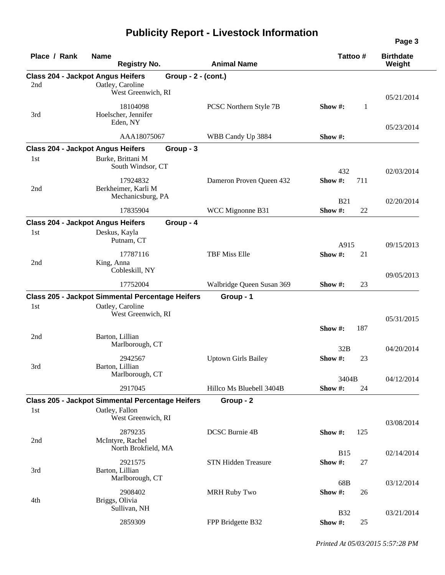| Place / Rank | <b>Name</b><br><b>Registry No.</b>                      | <b>Animal Name</b>         | Tattoo#              | <b>Birthdate</b><br>Weight |
|--------------|---------------------------------------------------------|----------------------------|----------------------|----------------------------|
|              | <b>Class 204 - Jackpot Angus Heifers</b>                | Group - 2 - (cont.)        |                      |                            |
| 2nd          | Oatley, Caroline<br>West Greenwich, RI                  |                            |                      |                            |
|              |                                                         |                            |                      | 05/21/2014                 |
|              | 18104098                                                | PCSC Northern Style 7B     | 1<br>Show $#$ :      |                            |
| 3rd          | Hoelscher, Jennifer<br>Eden, NY                         |                            |                      |                            |
|              | AAA18075067                                             |                            |                      | 05/23/2014                 |
|              |                                                         | WBB Candy Up 3884          | Show #:              |                            |
|              | <b>Class 204 - Jackpot Angus Heifers</b><br>Group - 3   |                            |                      |                            |
| 1st          | Burke, Brittani M<br>South Windsor, CT                  |                            |                      |                            |
|              |                                                         |                            | 432                  | 02/03/2014                 |
|              | 17924832                                                | Dameron Proven Queen 432   | Show #:<br>711       |                            |
| 2nd          | Berkheimer, Karli M<br>Mechanicsburg, PA                |                            |                      |                            |
|              |                                                         |                            | <b>B21</b>           | 02/20/2014                 |
|              | 17835904                                                | WCC Mignonne B31           | Show#:<br>22         |                            |
|              | <b>Class 204 - Jackpot Angus Heifers</b><br>Group - 4   |                            |                      |                            |
| 1st          | Deskus, Kayla                                           |                            |                      |                            |
|              | Putnam, CT                                              |                            | A915                 | 09/15/2013                 |
|              | 17787116                                                | <b>TBF Miss Elle</b>       | Show#:<br>21         |                            |
| 2nd          | King, Anna                                              |                            |                      |                            |
|              | Cobleskill, NY                                          |                            |                      | 09/05/2013                 |
|              | 17752004                                                | Walbridge Queen Susan 369  | Show #:<br>23        |                            |
|              | <b>Class 205 - Jackpot Simmental Percentage Heifers</b> | Group - 1                  |                      |                            |
| 1st          | Oatley, Caroline                                        |                            |                      |                            |
|              | West Greenwich, RI                                      |                            |                      | 05/31/2015                 |
|              |                                                         |                            | Show#:<br>187        |                            |
| 2nd          | Barton, Lillian                                         |                            |                      |                            |
|              | Marlborough, CT                                         |                            | 32B                  | 04/20/2014                 |
|              | 2942567                                                 | <b>Uptown Girls Bailey</b> | Show #:<br>23        |                            |
| 3rd          | Barton, Lillian                                         |                            |                      |                            |
|              | Marlborough, CT                                         |                            | 3404B                | 04/12/2014                 |
|              | 2917045                                                 | Hillco Ms Bluebell 3404B   | Show #:<br>24        |                            |
|              | Class 205 - Jackpot Simmental Percentage Heifers        | Group - 2                  |                      |                            |
| 1st          | Oatley, Fallon                                          |                            |                      |                            |
|              | West Greenwich, RI                                      |                            |                      | 03/08/2014                 |
|              | 2879235                                                 | DCSC Burnie 4B             | 125<br>Show #:       |                            |
| 2nd          | McIntyre, Rachel                                        |                            |                      |                            |
|              | North Brokfield, MA                                     |                            | <b>B15</b>           |                            |
|              | 2921575                                                 | <b>STN Hidden Treasure</b> | Show #:<br>27        | 02/14/2014                 |
| 3rd          | Barton, Lillian                                         |                            |                      |                            |
|              | Marlborough, CT                                         |                            |                      |                            |
|              | 2908402                                                 | <b>MRH Ruby Two</b>        | 68B<br>Show #:<br>26 | 03/12/2014                 |
| 4th          | Briggs, Olivia                                          |                            |                      |                            |
|              | Sullivan, NH                                            |                            |                      |                            |
|              |                                                         |                            | <b>B32</b>           | 03/21/2014                 |
|              | 2859309                                                 | FPP Bridgette B32          | Show #:<br>25        |                            |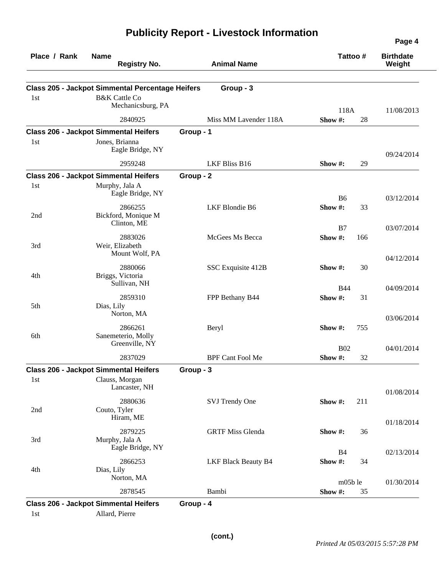| Place / Rank | <b>Name</b><br><b>Registry No.</b>                                              |           | <b>Animal Name</b>         | Tattoo#              |     | <b>Birthdate</b><br>Weight |
|--------------|---------------------------------------------------------------------------------|-----------|----------------------------|----------------------|-----|----------------------------|
|              | <b>Class 205 - Jackpot Simmental Percentage Heifers</b>                         |           | Group - 3                  |                      |     |                            |
| 1st          | <b>B&amp;K</b> Cattle Co<br>Mechanicsburg, PA                                   |           |                            | 118A                 |     | 11/08/2013                 |
|              | 2840925                                                                         |           | Miss MM Lavender 118A      | Show #:              | 28  |                            |
|              | <b>Class 206 - Jackpot Simmental Heifers</b>                                    | Group - 1 |                            |                      |     |                            |
| 1st          | Jones, Brianna<br>Eagle Bridge, NY                                              |           |                            |                      |     | 09/24/2014                 |
|              | 2959248                                                                         |           | LKF Bliss B16              | Show #:              | 29  |                            |
|              | <b>Class 206 - Jackpot Simmental Heifers</b>                                    | Group - 2 |                            |                      |     |                            |
| 1st          | Murphy, Jala A<br>Eagle Bridge, NY                                              |           |                            | B <sub>6</sub>       |     | 03/12/2014                 |
| 2nd          | 2866255<br>Bickford, Monique M<br>Clinton, ME                                   |           | LKF Blondie B6             | Show#:               | 33  |                            |
|              |                                                                                 |           |                            | B7                   |     | 03/07/2014                 |
| 3rd          | 2883026<br>Weir, Elizabeth<br>Mount Wolf, PA                                    |           | McGees Ms Becca            | Show#:               | 166 |                            |
| 4th          | 2880066<br>Briggs, Victoria<br>Sullivan, NH                                     |           | SSC Exquisite 412B         | Show#:               | 30  | 04/12/2014                 |
|              |                                                                                 |           |                            | <b>B44</b>           |     | 04/09/2014                 |
| 5th          | 2859310<br>Dias, Lily<br>Norton, MA                                             |           | FPP Bethany B44            | Show#:               | 31  |                            |
| 6th          | 2866261<br>Sanemeterio, Molly                                                   |           | Beryl                      | Show #:              | 755 | 03/06/2014                 |
|              | Greenville, NY<br>2837029                                                       |           | <b>BPF Cant Fool Me</b>    | <b>B02</b><br>Show#: | 32  | 04/01/2014                 |
|              |                                                                                 |           |                            |                      |     |                            |
| 1st          | <b>Class 206 - Jackpot Simmental Heifers</b><br>Clauss, Morgan<br>Lancaster, NH | Group - 3 |                            |                      |     |                            |
| 2nd          | 2880636<br>Couto, Tyler<br>Hiram, ME                                            |           | SVJ Trendy One             | Show #:              | 211 | 01/08/2014                 |
| 3rd          | 2879225<br>Murphy, Jala A                                                       |           | <b>GRTF Miss Glenda</b>    | Show #:              | 36  | 01/18/2014                 |
|              | Eagle Bridge, NY                                                                |           |                            | B <sub>4</sub>       |     | 02/13/2014                 |
| 4th          | 2866253<br>Dias, Lily                                                           |           | <b>LKF Black Beauty B4</b> | Show #:              | 34  |                            |
|              | Norton, MA<br>2878545                                                           |           | Bambi                      | m05ble<br>Show #:    |     | 01/30/2014                 |
|              |                                                                                 |           |                            |                      | 35  |                            |
| 1st          | <b>Class 206 - Jackpot Simmental Heifers</b><br>Allard, Pierre                  | Group - 4 |                            |                      |     |                            |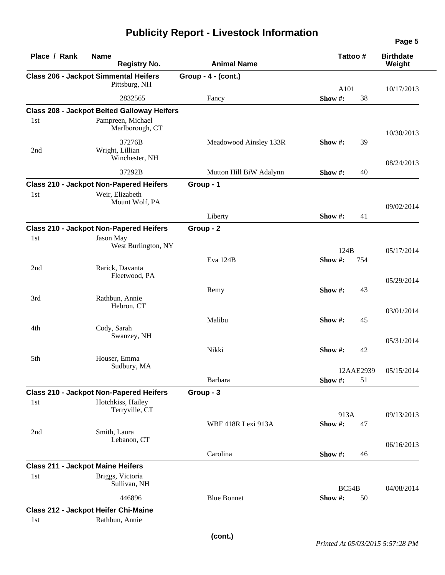|  |  |  | <b>Publicity Report - Livestock Information</b> |
|--|--|--|-------------------------------------------------|
|--|--|--|-------------------------------------------------|

| Place / Rank                             | <b>Name</b><br><b>Registry No.</b>                 | <b>Animal Name</b>      | Tattoo #             |     | <b>Birthdate</b><br>Weight |
|------------------------------------------|----------------------------------------------------|-------------------------|----------------------|-----|----------------------------|
|                                          | <b>Class 206 - Jackpot Simmental Heifers</b>       | Group - $4 - (cont.)$   |                      |     |                            |
|                                          | Pittsburg, NH                                      |                         | A101                 |     | 10/17/2013                 |
|                                          | 2832565                                            | Fancy                   | Show #:              | 38  |                            |
|                                          | <b>Class 208 - Jackpot Belted Galloway Heifers</b> |                         |                      |     |                            |
| 1 <sub>st</sub>                          | Pampreen, Michael<br>Marlborough, CT               |                         |                      |     | 10/30/2013                 |
| 2nd                                      | 37276B<br>Wright, Lillian<br>Winchester, NH        | Meadowood Ainsley 133R  | Show $\#$ :          | 39  | 08/24/2013                 |
|                                          | 37292B                                             | Mutton Hill BiW Adalynn | Show #:              | 40  |                            |
|                                          | <b>Class 210 - Jackpot Non-Papered Heifers</b>     | Group - 1               |                      |     |                            |
| 1st                                      | Weir, Elizabeth<br>Mount Wolf, PA                  |                         |                      |     | 09/02/2014                 |
|                                          |                                                    | Liberty                 | Show#:               | 41  |                            |
|                                          | <b>Class 210 - Jackpot Non-Papered Heifers</b>     | Group - 2               |                      |     |                            |
| 1 <sub>st</sub>                          | Jason May<br>West Burlington, NY                   |                         |                      |     |                            |
|                                          |                                                    |                         | 124B                 |     | 05/17/2014                 |
| 2nd                                      | Rarick, Davanta<br>Fleetwood, PA                   | Eva 124B                | Show#:               | 754 |                            |
|                                          |                                                    | Remy                    | Show #:              | 43  | 05/29/2014                 |
| 3rd                                      | Rathbun, Annie<br>Hebron, CT                       |                         |                      |     | 03/01/2014                 |
|                                          |                                                    | Malibu                  | Show #:              | 45  |                            |
| 4th                                      | Cody, Sarah<br>Swanzey, NH                         |                         |                      |     | 05/31/2014                 |
|                                          |                                                    | Nikki                   | Show #:              | 42  |                            |
| 5th                                      | Houser, Emma<br>Sudbury, MA                        |                         |                      |     |                            |
|                                          |                                                    | Barbara                 | 12AAE2939<br>Show #: | 51  | 05/15/2014                 |
|                                          | <b>Class 210 - Jackpot Non-Papered Heifers</b>     | Group - 3               |                      |     |                            |
| 1st                                      | Hotchkiss, Hailey<br>Terryville, CT                |                         |                      |     |                            |
|                                          |                                                    | WBF 418R Lexi 913A      | 913A<br>Show#:       | 47  | 09/13/2013                 |
| 2nd                                      | Smith, Laura<br>Lebanon, CT                        |                         |                      |     |                            |
|                                          |                                                    | Carolina                | Show #:              | 46  | 06/16/2013                 |
| <b>Class 211 - Jackpot Maine Heifers</b> |                                                    |                         |                      |     |                            |
| 1st                                      | Briggs, Victoria<br>Sullivan, NH                   |                         |                      |     |                            |
|                                          | 446896                                             | <b>Blue Bonnet</b>      | BC54B<br>Show #:     | 50  | 04/08/2014                 |
|                                          | <b>Class 212 - Jackpot Heifer Chi-Maine</b>        |                         |                      |     |                            |
| 1st                                      | Rathbun, Annie                                     |                         |                      |     |                            |
|                                          |                                                    |                         |                      |     |                            |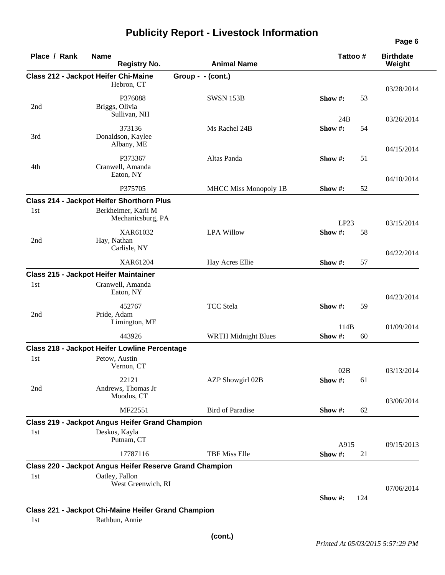### **Place / Rank Name Class 212 - Jackpot Heifer Chi-Maine Group - - (cont.) Birthdate Registry No. Animal Name Tattoo # Weight** Hebron, CT P376088 SWSN 153B **Show #:** 53 03/28/2014 2nd Briggs, Olivia Sullivan, NH 373136 Ms Rachel 24B 24B **Show #:** 54 03/26/2014 3rd Donaldson, Kaylee Albany, ME P373367 Altas Panda **Show #:** 51 04/15/2014 4th Cranwell, Amanda Eaton, NY P375705 MHCC Miss Monopoly 1B **Show #:** 52 04/10/2014 **Class 214 - Jackpot Heifer Shorthorn Plus**  1st Berkheimer, Karli M Mechanicsburg, PA XAR61032 LPA Willow LP23 **Show #:** 58 03/15/2014 2nd Hay, Nathan Carlisle, NY XAR61204 Hay Acres Ellie **Show #:** 57 04/22/2014 **Class 215 - Jackpot Heifer Maintainer**  1st Cranwell, Amanda Eaton, NY 452767 TCC Stela **Show #:** 59 04/23/2014 2nd Pride, Adam Limington, ME 443926 WRTH Midnight Blues 114B **Show #:** 60 01/09/2014 **Class 218 - Jackpot Heifer Lowline Percentage**  1st Petow, Austin Vernon, CT 22121 AZP Showgirl 02B 02B **Show #:** 61 03/13/2014 2nd Andrews, Thomas Jr Moodus, CT MF22551 Bird of Paradise **Show #:** 62 03/06/2014 **Class 219 - Jackpot Angus Heifer Grand Champion**  1st Deskus, Kayla Putnam, CT 17787116 TBF Miss Elle A915 **Show #:** 21 09/15/2013 **Class 220 - Jackpot Angus Heifer Reserve Grand Champion**  1st Oatley, Fallon West Greenwich, RI **Show #:** 124 07/06/2014

## **Publicity Report - Livestock Information**

**Class 221 - Jackpot Chi-Maine Heifer Grand Champion** 

1st Rathbun, Annie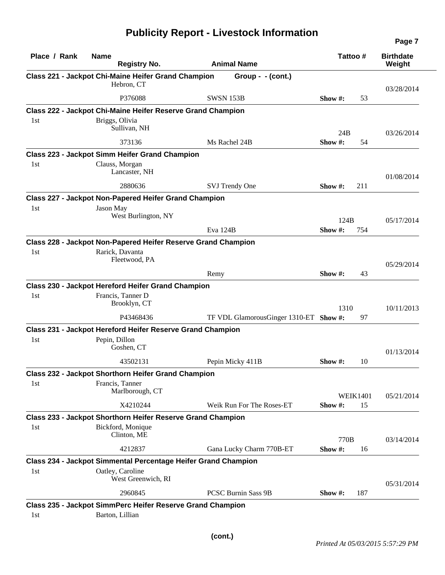| Place / Rank | <b>Name</b><br><b>Registry No.</b>                             | <b>Animal Name</b>                     |            | Tattoo #        | <b>Birthdate</b><br>Weight |
|--------------|----------------------------------------------------------------|----------------------------------------|------------|-----------------|----------------------------|
|              | Class 221 - Jackpot Chi-Maine Heifer Grand Champion            | Group - $-(\text{cont.})$              |            |                 |                            |
|              | Hebron, CT                                                     |                                        |            |                 | 03/28/2014                 |
|              | P376088                                                        | <b>SWSN 153B</b>                       | Show $#$ : | 53              |                            |
|              | Class 222 - Jackpot Chi-Maine Heifer Reserve Grand Champion    |                                        |            |                 |                            |
| 1st          | Briggs, Olivia                                                 |                                        |            |                 |                            |
|              | Sullivan, NH                                                   |                                        | 24B        |                 | 03/26/2014                 |
|              | 373136                                                         | Ms Rachel 24B                          | Show #:    | 54              |                            |
|              | Class 223 - Jackpot Simm Heifer Grand Champion                 |                                        |            |                 |                            |
| 1st          | Clauss, Morgan<br>Lancaster, NH                                |                                        |            |                 | 01/08/2014                 |
|              | 2880636                                                        | SVJ Trendy One                         | Show #:    | 211             |                            |
|              | Class 227 - Jackpot Non-Papered Heifer Grand Champion          |                                        |            |                 |                            |
| 1st          | Jason May                                                      |                                        |            |                 |                            |
|              | West Burlington, NY                                            |                                        | 124B       |                 | 05/17/2014                 |
|              |                                                                | Eva 124B                               | Show #:    | 754             |                            |
|              | Class 228 - Jackpot Non-Papered Heifer Reserve Grand Champion  |                                        |            |                 |                            |
| 1st          | Rarick, Davanta<br>Fleetwood, PA                               |                                        |            |                 | 05/29/2014                 |
|              |                                                                | Remy                                   | Show $#$ : | 43              |                            |
|              | Class 230 - Jackpot Hereford Heifer Grand Champion             |                                        |            |                 |                            |
| 1st          | Francis, Tanner D                                              |                                        |            |                 |                            |
|              | Brooklyn, CT                                                   |                                        | 1310       |                 | 10/11/2013                 |
|              | P43468436                                                      | TF VDL GlamorousGinger 1310-ET Show #: |            | 97              |                            |
|              | Class 231 - Jackpot Hereford Heifer Reserve Grand Champion     |                                        |            |                 |                            |
| 1st          | Pepin, Dillon<br>Goshen, CT                                    |                                        |            |                 | 01/13/2014                 |
|              | 43502131                                                       | Pepin Micky 411B                       | Show $#$ : | 10              |                            |
|              | Class 232 - Jackpot Shorthorn Heifer Grand Champion            |                                        |            |                 |                            |
| 1st          | Francis, Tanner                                                |                                        |            |                 |                            |
|              | Marlborough, CT                                                |                                        |            | <b>WEIK1401</b> | 05/21/2014                 |
|              | X4210244                                                       | Weik Run For The Roses-ET              | Show #:    | 15              |                            |
|              | Class 233 - Jackpot Shorthorn Heifer Reserve Grand Champion    |                                        |            |                 |                            |
| 1st          | Bickford, Monique<br>Clinton, ME                               |                                        | 770B       |                 | 03/14/2014                 |
|              | 4212837                                                        | Gana Lucky Charm 770B-ET               | Show #:    | 16              |                            |
|              | Class 234 - Jackpot Simmental Percentage Heifer Grand Champion |                                        |            |                 |                            |
| 1st          | Oatley, Caroline                                               |                                        |            |                 |                            |
|              | West Greenwich, RI                                             |                                        |            |                 | 05/31/2014                 |
|              | 2960845                                                        | <b>PCSC Burnin Sass 9B</b>             | Show #:    | 187             |                            |
|              | Class 235 - Jackpot SimmPerc Heifer Reserve Grand Champion     |                                        |            |                 |                            |
| 1st          | Barton, Lillian                                                |                                        |            |                 |                            |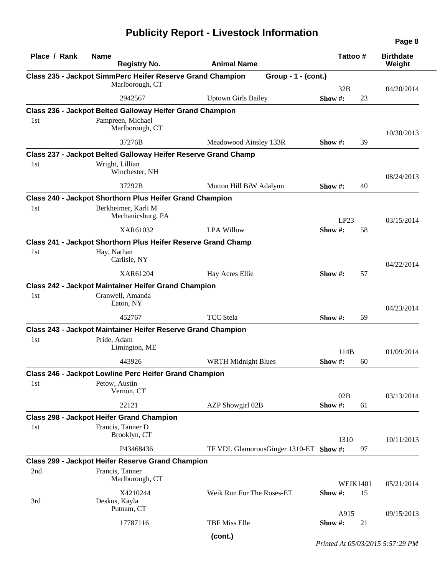| Place / Rank | <b>Name</b><br><b>Registry No.</b>                                  | <b>Animal Name</b>                     |             | Tattoo#         | <b>Birthdate</b><br>Weight |
|--------------|---------------------------------------------------------------------|----------------------------------------|-------------|-----------------|----------------------------|
|              | Class 235 - Jackpot SimmPerc Heifer Reserve Grand Champion          | Group - $1 - (cont.)$                  |             |                 |                            |
|              | Marlborough, CT                                                     |                                        |             | 32B             | 04/20/2014                 |
|              | 2942567                                                             | <b>Uptown Girls Bailey</b>             | Show $#$ :  | 23              |                            |
|              | Class 236 - Jackpot Belted Galloway Heifer Grand Champion           |                                        |             |                 |                            |
| 1st          | Pampreen, Michael                                                   |                                        |             |                 |                            |
|              | Marlborough, CT                                                     |                                        |             |                 | 10/30/2013                 |
|              | 37276B                                                              | Meadowood Ainsley 133R                 | Show #:     | 39              |                            |
|              | Class 237 - Jackpot Belted Galloway Heifer Reserve Grand Champ      |                                        |             |                 |                            |
| 1st          | Wright, Lillian                                                     |                                        |             |                 |                            |
|              | Winchester, NH                                                      |                                        |             |                 | 08/24/2013                 |
|              | 37292B                                                              | Mutton Hill BiW Adalynn                | Show #:     | 40              |                            |
|              | Class 240 - Jackpot Shorthorn Plus Heifer Grand Champion            |                                        |             |                 |                            |
| 1st          | Berkheimer, Karli M                                                 |                                        |             |                 |                            |
|              | Mechanicsburg, PA                                                   |                                        |             | LP23            | 03/15/2014                 |
|              | XAR61032                                                            | <b>LPA Willow</b>                      | Show#:      | 58              |                            |
|              | Class 241 - Jackpot Shorthorn Plus Heifer Reserve Grand Champ       |                                        |             |                 |                            |
| 1st          | Hay, Nathan                                                         |                                        |             |                 |                            |
|              | Carlisle, NY                                                        |                                        |             |                 | 04/22/2014                 |
|              | XAR61204                                                            | Hay Acres Ellie                        | Show $#$ :  | 57              |                            |
|              | <b>Class 242 - Jackpot Maintainer Heifer Grand Champion</b>         |                                        |             |                 |                            |
| 1st          | Cranwell, Amanda                                                    |                                        |             |                 |                            |
|              | Eaton, NY                                                           |                                        |             |                 | 04/23/2014                 |
|              | 452767                                                              | <b>TCC</b> Stela                       | Show $\#$ : | 59              |                            |
|              | <b>Class 243 - Jackpot Maintainer Heifer Reserve Grand Champion</b> |                                        |             |                 |                            |
| 1st          | Pride, Adam                                                         |                                        |             |                 |                            |
|              | Limington, ME                                                       |                                        |             | 114B            | 01/09/2014                 |
|              | 443926                                                              | <b>WRTH Midnight Blues</b>             | Show#:      | 60              |                            |
|              | Class 246 - Jackpot Lowline Perc Heifer Grand Champion              |                                        |             |                 |                            |
| 1st          | Petow, Austin                                                       |                                        |             |                 |                            |
|              | Vernon, CT                                                          |                                        |             | 02B             | 03/13/2014                 |
|              | 22121                                                               | AZP Showgirl 02B                       | Show #:     | 61              |                            |
|              | <b>Class 298 - Jackpot Heifer Grand Champion</b>                    |                                        |             |                 |                            |
| 1st          | Francis, Tanner D                                                   |                                        |             |                 |                            |
|              | Brooklyn, CT                                                        |                                        |             | 1310            | 10/11/2013                 |
|              | P43468436                                                           | TF VDL GlamorousGinger 1310-ET Show #: |             | 97              |                            |
|              | <b>Class 299 - Jackpot Heifer Reserve Grand Champion</b>            |                                        |             |                 |                            |
| 2nd          | Francis, Tanner                                                     |                                        |             |                 |                            |
|              | Marlborough, CT                                                     |                                        |             | <b>WEIK1401</b> | 05/21/2014                 |
|              | X4210244                                                            | Weik Run For The Roses-ET              | Show#:      | 15              |                            |
| 3rd          | Deskus, Kayla<br>Putnam, CT                                         |                                        |             |                 |                            |
|              | 17787116                                                            | <b>TBF Miss Elle</b>                   | Show #:     | A915<br>21      | 09/15/2013                 |
|              |                                                                     |                                        |             |                 |                            |

*Printed At 05/03/2015 5:57:29 PM*